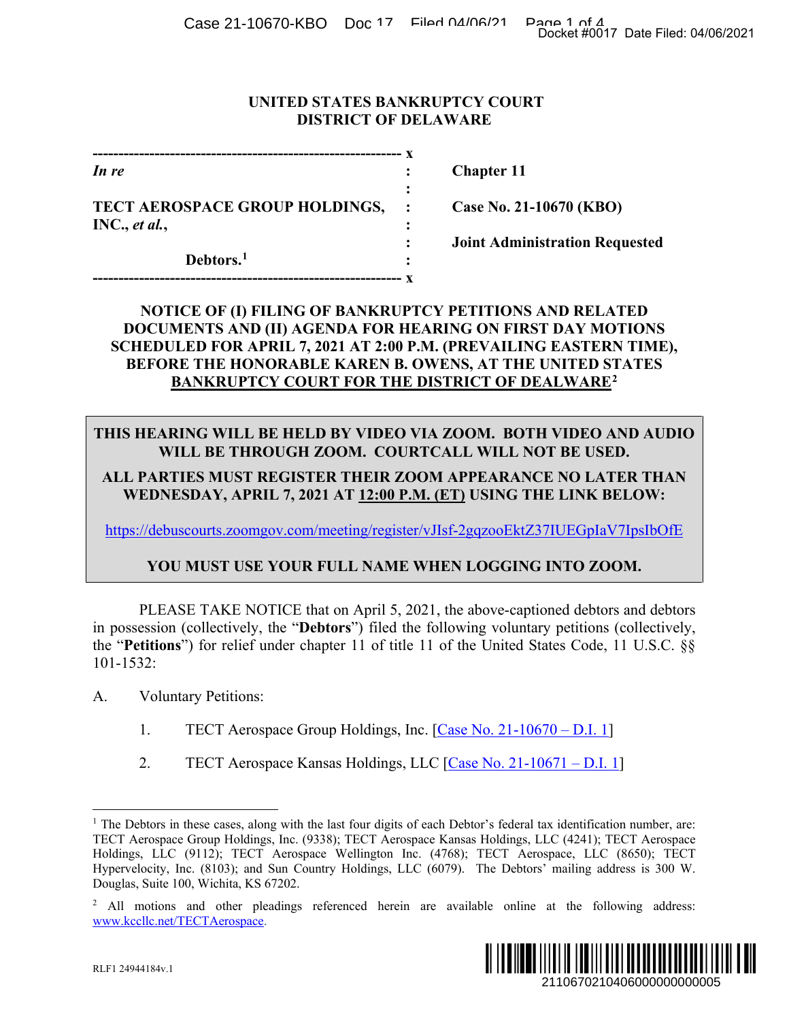Case 21-10670-KBO Doc 17 Filed 04/06/21 Page 1 of 4<br>Docket #0017 Date Filed: 04/06/2021

### **UNITED STATES BANKRUPTCY COURT DISTRICT OF DELAWARE**

| In re                          |  |
|--------------------------------|--|
|                                |  |
| TECT AEROSPACE GROUP HOLDINGS, |  |
| INC., et al.,                  |  |
|                                |  |
| Debtors. <sup>1</sup>          |  |
|                                |  |

*In re* **: Chapter 11**

**Case No. 21-10670 (KBO)**

**: Joint Administration Requested**

# **NOTICE OF (I) FILING OF BANKRUPTCY PETITIONS AND RELATED DOCUMENTS AND (II) AGENDA FOR HEARING ON FIRST DAY MOTIONS SCHEDULED FOR APRIL 7, 2021 AT 2:00 P.M. (PREVAILING EASTERN TIME), BEFORE THE HONORABLE KAREN B. OWENS, AT THE UNITED STATES BANKRUPTCY COURT FOR THE DISTRICT OF DEALWARE[2](#page-0-1)** Docket #0017 Date Filed: 04/06/2021<br>
10670 (KBO)<br>
Stration Requested<br>
TDAY MOTIONS<br>
TDAY MOTIONS<br>
UNITED STATES<br>
UNITED STATES<br>
UNITED STATES<br>
TO LOTER THAN<br>
THOT DE USED.<br>
THOT DE USED.<br>
THOT DE USED.<br>
THOT ZOOM.<br>
STIUEGp

# **THIS HEARING WILL BE HELD BY VIDEO VIA ZOOM. BOTH VIDEO AND AUDIO WILL BE THROUGH ZOOM. COURTCALL WILL NOT BE USED.**

## **ALL PARTIES MUST REGISTER THEIR ZOOM APPEARANCE NO LATER THAN WEDNESDAY, APRIL 7, 2021 AT 12:00 P.M. (ET) USING THE LINK BELOW:**

[https://debuscourts.zoomgov.com/meeting/register/vJIsf-2gqzooEktZ37IUEGpIaV7IpsIbOfE](https://protect-us.mimecast.com/s/Oy2vCBBR67t8mQ1RFz0yLE?domain=debuscourts.zoomgov.com)

# **YOU MUST USE YOUR FULL NAME WHEN LOGGING INTO ZOOM.**

PLEASE TAKE NOTICE that on April 5, 2021, the above-captioned debtors and debtors in possession (collectively, the "**Debtors**") filed the following voluntary petitions (collectively, the "**Petitions**") for relief under chapter 11 of title 11 of the United States Code, 11 U.S.C. §§ 101-1532:

### A. Voluntary Petitions:

- 1. TECT Aerospace Group Holdings, Inc. [\[Case No. 21-10670 –](https://ecf.deb.uscourts.gov/doc1/042019715475) D.I. 1]
- 2. TECT Aerospace Kansas Holdings, LLC [\[Case No. 21-10671 –](https://ecf.deb.uscourts.gov/doc1/042019715481) D.I. 1]

<span id="page-0-1"></span><sup>&</sup>lt;sup>2</sup> All motions and other pleadings referenced herein are available online at the following address: [www.kccllc.net/TECTAerospace.](https://protect-us.mimecast.com/s/-khtCZ6m0DCQR6Dnhztgj-?domain=urldefense.proofpoint.com)



<span id="page-0-0"></span><sup>&</sup>lt;sup>1</sup> The Debtors in these cases, along with the last four digits of each Debtor's federal tax identification number, are: TECT Aerospace Group Holdings, Inc. (9338); TECT Aerospace Kansas Holdings, LLC (4241); TECT Aerospace Holdings, LLC (9112); TECT Aerospace Wellington Inc. (4768); TECT Aerospace, LLC (8650); TECT Hypervelocity, Inc. (8103); and Sun Country Holdings, LLC (6079). The Debtors' mailing address is 300 W. Douglas, Suite 100, Wichita, KS 67202.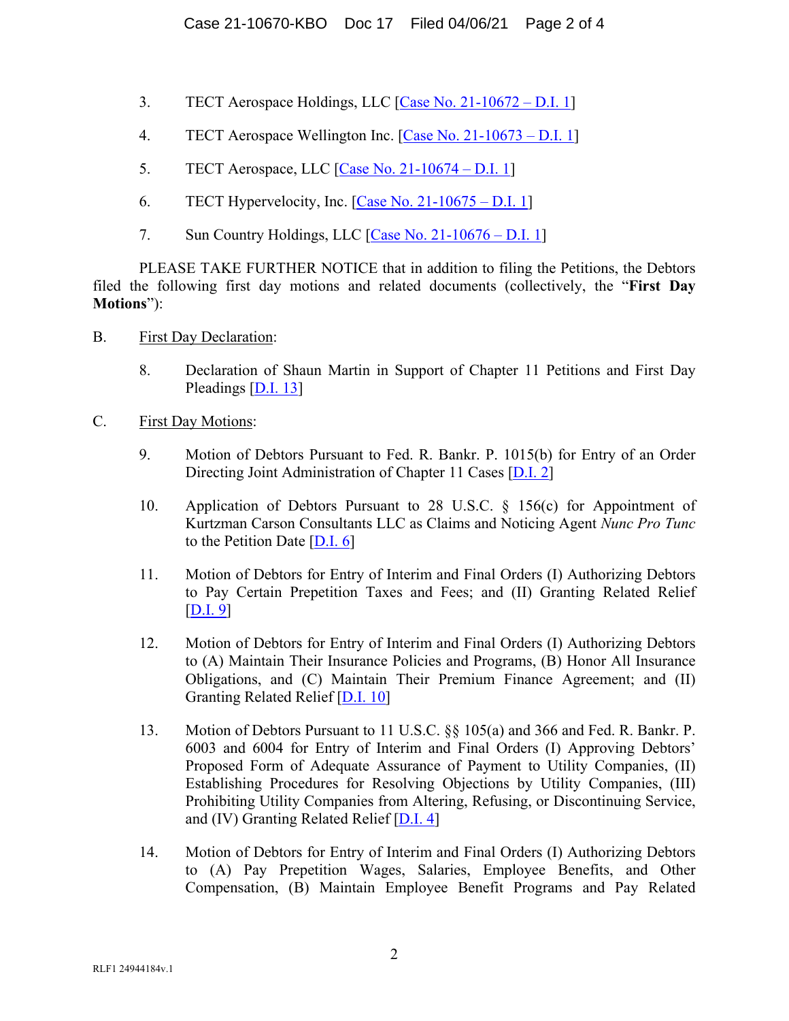- 3. TECT Aerospace Holdings, LLC [\[Case No. 21-10672 –](https://ecf.deb.uscourts.gov/doc1/042019715493) D.I. 1]
- 4. TECT Aerospace Wellington Inc. [\[Case No. 21-10673 –](https://ecf.deb.uscourts.gov/doc1/042019715499) D.I. 1]
- 5. TECT Aerospace, LLC [\[Case No. 21-10674 –](https://ecf.deb.uscourts.gov/doc1/042019715505) D.I. 1]
- 6. TECT Hypervelocity, Inc. [\[Case No. 21-10675 –](https://ecf.deb.uscourts.gov/doc1/042019715511) D.I. 1]
- 7. Sun Country Holdings, LLC [\[Case No. 21-10676 –](https://ecf.deb.uscourts.gov/doc1/042019715514) D.I. 1]

PLEASE TAKE FURTHER NOTICE that in addition to filing the Petitions, the Debtors filed the following first day motions and related documents (collectively, the "**First Day Motions**"):

- B. First Day Declaration:
	- 8. Declaration of Shaun Martin in Support of Chapter 11 Petitions and First Day Pleadings [\[D.I. 13\]](https://ecf.deb.uscourts.gov/doc1/042019715654)
- C. First Day Motions:
	- 9. Motion of Debtors Pursuant to Fed. R. Bankr. P. 1015(b) for Entry of an Order Directing Joint Administration of Chapter 11 Cases [\[D.I. 2\]](https://ecf.deb.uscourts.gov/doc1/042019715520)
	- 10. Application of Debtors Pursuant to 28 U.S.C. § 156(c) for Appointment of Kurtzman Carson Consultants LLC as Claims and Noticing Agent *Nunc Pro Tunc*  to the Petition Date [\[D.I. 6\]](https://ecf.deb.uscourts.gov/doc1/042019715575)
	- 11. Motion of Debtors for Entry of Interim and Final Orders (I) Authorizing Debtors to Pay Certain Prepetition Taxes and Fees; and (II) Granting Related Relief [\[D.I. 9\]](https://ecf.deb.uscourts.gov/doc1/042019715627)
	- 12. Motion of Debtors for Entry of Interim and Final Orders (I) Authorizing Debtors to (A) Maintain Their Insurance Policies and Programs, (B) Honor All Insurance Obligations, and (C) Maintain Their Premium Finance Agreement; and (II) Granting Related Relief [\[D.I. 10\]](https://ecf.deb.uscourts.gov/doc1/042019715633)
	- 13. Motion of Debtors Pursuant to 11 U.S.C. §§ 105(a) and 366 and Fed. R. Bankr. P. 6003 and 6004 for Entry of Interim and Final Orders (I) Approving Debtors' Proposed Form of Adequate Assurance of Payment to Utility Companies, (II) Establishing Procedures for Resolving Objections by Utility Companies, (III) Prohibiting Utility Companies from Altering, Refusing, or Discontinuing Service, and (IV) Granting Related Relief [\[D.I. 4\]](https://ecf.deb.uscourts.gov/doc1/042019715553)
	- 14. Motion of Debtors for Entry of Interim and Final Orders (I) Authorizing Debtors to (A) Pay Prepetition Wages, Salaries, Employee Benefits, and Other Compensation, (B) Maintain Employee Benefit Programs and Pay Related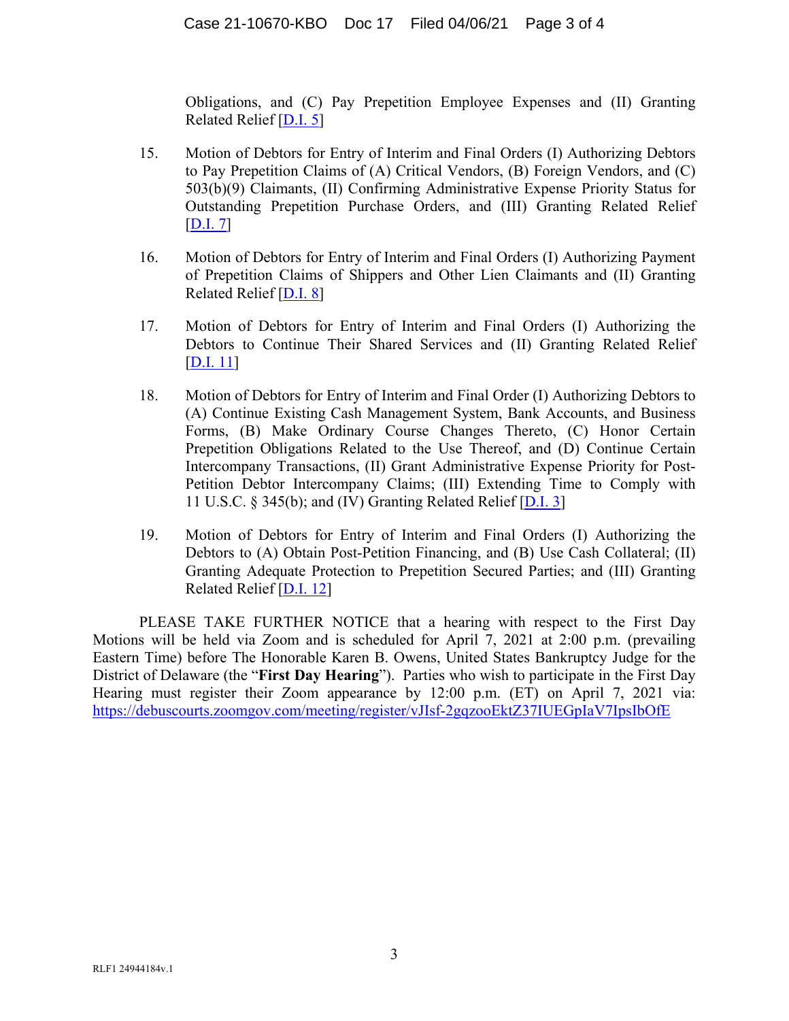Obligations, and (C) Pay Prepetition Employee Expenses and (II) Granting Related Relief [\[D.I. 5\]](https://ecf.deb.uscourts.gov/doc1/042019715559)

- 15. Motion of Debtors for Entry of Interim and Final Orders (I) Authorizing Debtors to Pay Prepetition Claims of (A) Critical Vendors, (B) Foreign Vendors, and (C) 503(b)(9) Claimants, (II) Confirming Administrative Expense Priority Status for Outstanding Prepetition Purchase Orders, and (III) Granting Related Relief [\[D.I. 7\]](https://ecf.deb.uscourts.gov/doc1/042019715582)
- 16. Motion of Debtors for Entry of Interim and Final Orders (I) Authorizing Payment of Prepetition Claims of Shippers and Other Lien Claimants and (II) Granting Related Relief [\[D.I. 8\]](https://ecf.deb.uscourts.gov/doc1/042019715621)
- 17. Motion of Debtors for Entry of Interim and Final Orders (I) Authorizing the Debtors to Continue Their Shared Services and (II) Granting Related Relief [\[D.I. 11\]](https://ecf.deb.uscourts.gov/doc1/042019715636)
- 18. Motion of Debtors for Entry of Interim and Final Order (I) Authorizing Debtors to (A) Continue Existing Cash Management System, Bank Accounts, and Business Forms, (B) Make Ordinary Course Changes Thereto, (C) Honor Certain Prepetition Obligations Related to the Use Thereof, and (D) Continue Certain Intercompany Transactions, (II) Grant Administrative Expense Priority for Post-Petition Debtor Intercompany Claims; (III) Extending Time to Comply with 11 U.S.C. § 345(b); and (IV) Granting Related Relief [\[D.I. 3\]](https://ecf.deb.uscourts.gov/doc1/042019715544)
- 19. Motion of Debtors for Entry of Interim and Final Orders (I) Authorizing the Debtors to (A) Obtain Post-Petition Financing, and (B) Use Cash Collateral; (II) Granting Adequate Protection to Prepetition Secured Parties; and (III) Granting Related Relief [\[D.I. 12\]](https://ecf.deb.uscourts.gov/doc1/042019715648)

PLEASE TAKE FURTHER NOTICE that a hearing with respect to the First Day Motions will be held via Zoom and is scheduled for April 7, 2021 at 2:00 p.m. (prevailing Eastern Time) before The Honorable Karen B. Owens, United States Bankruptcy Judge for the District of Delaware (the "**First Day Hearing**"). Parties who wish to participate in the First Day Hearing must register their Zoom appearance by 12:00 p.m. (ET) on April 7, 2021 via: [https://debuscourts.zoomgov.com/meeting/register/vJIsf-2gqzooEktZ37IUEGpIaV7IpsIbOfE](https://protect-us.mimecast.com/s/Oy2vCBBR67t8mQ1RFz0yLE?domain=debuscourts.zoomgov.com)